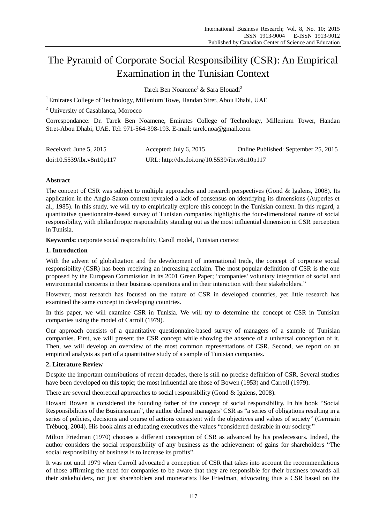# The Pyramid of Corporate Social Responsibility (CSR): An Empirical Examination in the Tunisian Context

Tarek Ben Noamene<sup>1</sup> & Sara Elouadi<sup>2</sup>

<sup>1</sup> Emirates College of Technology, Millenium Towe, Handan Stret, Abou Dhabi, UAE

<sup>2</sup> University of Casablanca, Morocco

Correspondance: Dr. Tarek Ben Noamene, Emirates College of Technology, Millenium Tower, Handan Stret-Abou Dhabi, UAE. Tel: 971-564-398-193. E-mail: [tarek.noa@gmail.com](mailto:tarek.noa@gmail.com)

| Received: June 5, 2015    | Accepted: July 6, $2015$                     | Online Published: September 25, 2015 |
|---------------------------|----------------------------------------------|--------------------------------------|
| doi:10.5539/ibr.v8n10p117 | URL: http://dx.doi.org/10.5539/ibr.v8n10p117 |                                      |

## **Abstract**

The concept of CSR was subject to multiple approaches and research perspectives (Gond & Igalens, 2008). Its application in the Anglo-Saxon context revealed a lack of consensus on identifying its dimensions (Auperles et al., 1985). In this study, we will try to empirically explore this concept in the Tunisian context. In this regard, a quantitative questionnaire-based survey of Tunisian companies highlights the four-dimensional nature of social responsibility, with philanthropic responsibility standing out as the most influential dimension in CSR perception in Tunisia.

**Keywords:** corporate social responsibility, Caroll model, Tunisian context

#### **1. Introduction**

With the advent of globalization and the development of international trade, the concept of corporate social responsibility (CSR) has been receiving an increasing acclaim. The most popular definition of CSR is the one proposed by the European Commission in its 2001 Green Paper; "companies' voluntary integration of social and environmental concerns in their business operations and in their interaction with their stakeholders."

However, most research has focused on the nature of CSR in developed countries, yet little research has examined the same concept in developing countries.

In this paper, we will examine CSR in Tunisia. We will try to determine the concept of CSR in Tunisian companies using the model of Carroll (1979).

Our approach consists of a quantitative questionnaire-based survey of managers of a sample of Tunisian companies. First, we will present the CSR concept while showing the absence of a universal conception of it. Then, we will develop an overview of the most common representations of CSR. Second, we report on an empirical analysis as part of a quantitative study of a sample of Tunisian companies.

### **2. Literature Review**

Despite the important contributions of recent decades, there is still no precise definition of CSR. Several studies have been developed on this topic; the most influential are those of Bowen (1953) and Carroll (1979).

There are several theoretical approaches to social responsibility (Gond & Igalens, 2008).

Howard Bowen is considered the founding father of the concept of social responsibility. In his book "Social Responsibilities of the Businessman", the author defined managers' CSR as "a series of obligations resulting in a series of policies, decisions and course of actions consistent with the objectives and values of society" (Germain Trébucq, 2004). His book aims at educating executives the values "considered desirable in our society."

Milton Friedman (1970) chooses a different conception of CSR as advanced by his predecessors. Indeed, the author considers the social responsibility of any business as the achievement of gains for shareholders "The social responsibility of business is to increase its profits".

It was not until 1979 when Carroll advocated a conception of CSR that takes into account the recommendations of those affirming the need for companies to be aware that they are responsible for their business towards all their stakeholders, not just shareholders and monetarists like Friedman, advocating thus a CSR based on the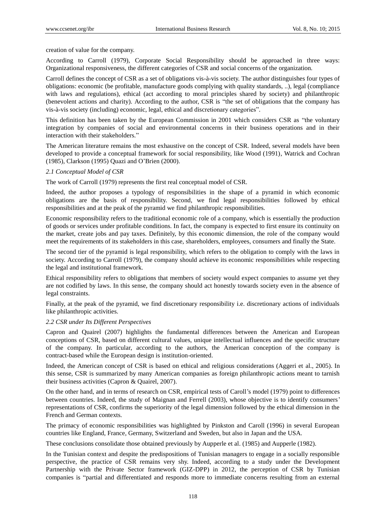creation of value for the company.

According to Carroll (1979), Corporate Social Responsibility should be approached in three ways: Organizational responsiveness, the different categories of CSR and social concerns of the organization.

Carroll defines the concept of CSR as a set of obligations vis-à-vis society. The author distinguishes four types of obligations: economic (be profitable, manufacture goods complying with quality standards, ..), legal (compliance with laws and regulations), ethical (act according to moral principles shared by society) and philanthropic (benevolent actions and charity). According to the author, CSR is "the set of obligations that the company has vis-à-vis society (including) economic, legal, ethical and discretionary categories".

This definition has been taken by the European Commission in 2001 which considers CSR as "the voluntary integration by companies of social and environmental concerns in their business operations and in their interaction with their stakeholders."

The American literature remains the most exhaustive on the concept of CSR. Indeed, several models have been developed to provide a conceptual framework for social responsibility, like Wood (1991), Watrick and Cochran (1985), Clarkson (1995) Quazi and O'Brien (2000).

#### *2.1 Conceptual Model of CSR*

The work of Carroll (1979) represents the first real conceptual model of CSR.

Indeed, the author proposes a typology of responsibilities in the shape of a pyramid in which economic obligations are the basis of responsibility. Second, we find legal responsibilities followed by ethical responsibilities and at the peak of the pyramid we find philanthropic responsibilities.

Economic responsibility refers to the traditional economic role of a company, which is essentially the production of goods or services under profitable conditions. In fact, the company is expected to first ensure its continuity on the market, create jobs and pay taxes. Definitely, by this economic dimension, the role of the company would meet the requirements of its stakeholders in this case, shareholders, employees, consumers and finally the State.

The second tier of the pyramid is legal responsibility, which refers to the obligation to comply with the laws in society. According to Carroll (1979), the company should achieve its economic responsibilities while respecting the legal and institutional framework.

Ethical responsibility refers to obligations that members of society would expect companies to assume yet they are not codified by laws. In this sense, the company should act honestly towards society even in the absence of legal constraints.

Finally, at the peak of the pyramid, we find discretionary responsibility i.e. discretionary actions of individuals like philanthropic activities.

#### *2.2 CSR under Its Different Perspectives*

Capron and Quairel (2007) highlights the fundamental differences between the American and European conceptions of CSR, based on different cultural values, unique intellectual influences and the specific structure of the company. In particular, according to the authors, the American conception of the company is contract-based while the European design is institution-oriented.

Indeed, the American concept of CSR is based on ethical and religious considerations (Aggeri et al., 2005). In this sense, CSR is summarized by many American companies as foreign philanthropic actions meant to tarnish their business activities (Capron & Quairel, 2007).

On the other hand, and in terms of research on CSR, empirical tests of Caroll's model (1979) point to differences between countries. Indeed, the study of Maignan and Ferrell (2003), whose objective is to identify consumers' representations of CSR, confirms the superiority of the legal dimension followed by the ethical dimension in the French and German contexts.

The primacy of economic responsibilities was highlighted by Pinkston and Caroll (1996) in several European countries like England, France, Germany, Switzerland and Sweden, but also in Japan and the USA.

These conclusions consolidate those obtained previously by Aupperle et al. (1985) and Aupperle (1982).

In the Tunisian context and despite the predispositions of Tunisian managers to engage in a socially responsible perspective, the practice of CSR remains very shy. Indeed, according to a study under the Development Partnership with the Private Sector framework (GIZ-DPP) in 2012, the perception of CSR by Tunisian companies is "partial and differentiated and responds more to immediate concerns resulting from an external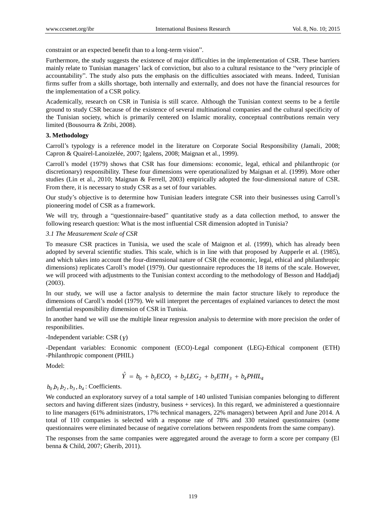constraint or an expected benefit than to a long-term vision".

Furthermore, the study suggests the existence of major difficulties in the implementation of CSR. These barriers mainly relate to Tunisian managers' lack of conviction, but also to a cultural resistance to the "very principle of accountability". The study also puts the emphasis on the difficulties associated with means. Indeed, Tunisian firms suffer from a skills shortage, both internally and externally, and does not have the financial resources for the implementation of a CSR policy.

Academically, research on CSR in Tunisia is still scarce. Although the Tunisian context seems to be a fertile ground to study CSR because of the existence of several multinational companies and the cultural specificity of the Tunisian society, which is primarily centered on Islamic morality, conceptual contributions remain very limited (Bousourra & Zribi, 2008).

### **3. Methodology**

Carroll's typology is a reference model in the literature on Corporate Social Responsibility (Jamali, 2008; Capron & Quairel-Lanoizelée, 2007; Igalens, 2008; Maignan et al., 1999).

Carroll's model (1979) shows that CSR has four dimensions: economic, legal, ethical and philanthropic (or discretionary) responsibility. These four dimensions were operationalized by Maignan et al. (1999). More other studies (Lin et al., 2010; Maignan & Ferrell, 2003) empirically adopted the four-dimensional nature of CSR. From there, it is necessary to study CSR as a set of four variables.

Our study's objective is to determine how Tunisian leaders integrate CSR into their businesses using Carroll's pioneering model of CSR as a framework.

We will try, through a "questionnaire-based" quantitative study as a data collection method, to answer the following research question: What is the most influential CSR dimension adopted in Tunisia?

### *3.1 The Measurement Scale of CSR*

To measure CSR practices in Tunisia, we used the scale of Maignon et al. (1999), which has already been adopted by several scientific studies. This scale, which is in line with that proposed by Aupperle et al. (1985), and which takes into account the four-dimensional nature of CSR (the economic, legal, ethical and philanthropic dimensions) replicates Caroll's model (1979). Our questionnaire reproduces the 18 items of the scale. However, we will proceed with adjustments to the Tunisian context according to the methodology of Besson and Haddjadj (2003).

In our study, we will use a factor analysis to determine the main factor structure likely to reproduce the dimensions of Caroll's model (1979). We will interpret the percentages of explained variances to detect the most influential responsibility dimension of CSR in Tunisia.

In another hand we will use the multiple linear regression analysis to determine with more precision the order of responibilities.

### -Independent variable: CSR (*Y*)

-Dependant variables: Economic component (ECO)-Legal component (LEG)-Ethical component (ETH) -Philanthropic component (PHIL)

Model:

$$
\hat{Y} = b_0 + b_1 ECO_1 + b_2 LEG_2 + b_3 ETH_3 + b_4 P HIL_4
$$

 $b_0$ , $b_1$ , $b_2$ ,  $b_3$ ,  $b_4$ : Coefficients.

We conducted an exploratory survey of a total sample of 140 unlisted Tunisian companies belonging to different sectors and having different sizes (industry, business + services). In this regard, we administered a questionnaire to line managers (61% administrators, 17% technical managers, 22% managers) between April and June 2014. A total of 110 companies is selected with a response rate of 78% and 330 retained questionnaires (some questionnaires were eliminated because of negative correlations between respondents from the same company).

The responses from the same companies were aggregated around the average to form a score per company (El benna & Child, 2007; Gherib, 2011).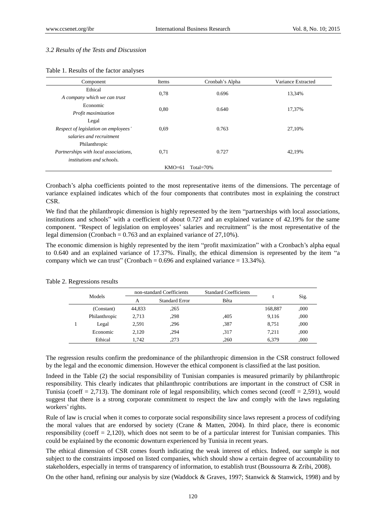#### *3.2 Results of the Tests and Discussion*

|  |  |  |  | Table 1. Results of the factor analyses |
|--|--|--|--|-----------------------------------------|
|--|--|--|--|-----------------------------------------|

| Component                             | Items | Cronbah's Alpha | Variance Extracted |  |
|---------------------------------------|-------|-----------------|--------------------|--|
| Ethical                               |       |                 | 13.34%             |  |
| A company which we can trust          | 0.78  | 0.696           |                    |  |
| Economic                              | 0.80  | 0.640           | 17.37%             |  |
| Profit maximization                   |       |                 |                    |  |
| Legal                                 |       |                 |                    |  |
| Respect of legislation on employees'  | 0.69  | 0.763           | 27.10%             |  |
| salaries and recruitment              |       |                 |                    |  |
| Philanthropic                         |       |                 |                    |  |
| Partnerships with local associations, | 0.71  | 0.727           | 42.19%             |  |
| <i>institutions and schools.</i>      |       |                 |                    |  |
| $KMO=61$<br>Total= $70\%$             |       |                 |                    |  |

Cronbach's alpha coefficients pointed to the most representative items of the dimensions. The percentage of variance explained indicates which of the four components that contributes most in explaining the construct CSR.

We find that the philanthropic dimension is highly represented by the item "partnerships with local associations, institutions and schools" with a coefficient of about 0.727 and an explained variance of 42.19% for the same component. "Respect of legislation on employees' salaries and recruitment" is the most representative of the legal dimension (Cronbach =  $0.763$  and an explained variance of 27,10%).

The economic dimension is highly represented by the item "profit maximization" with a Cronbach's alpha equal to 0.640 and an explained variance of 17.37%. Finally, the ethical dimension is represented by the item "a company which we can trust" (Cronbach =  $0.696$  and explained variance =  $13.34\%$ ).

| Models | non-standard Coefficients |                       | <b>Standard Coefficients</b> |      | Sig.    |      |
|--------|---------------------------|-----------------------|------------------------------|------|---------|------|
|        | А                         | <b>Standard Error</b> | Bêta                         |      |         |      |
|        | (Constant)                | 44.833                | .265                         |      | 168,887 | ,000 |
|        | Philanthropic             | 2,713                 | .298                         | ,405 | 9,116   | .000 |
|        | Legal                     | 2,591                 | .296                         | ,387 | 8.751   | ,000 |
|        | Economic                  | 2.120                 | .294                         | .317 | 7.211   | ,000 |
|        | Ethical                   | 1.742                 | .273                         | ,260 | 6.379   | .000 |

Table 2. Regressions results

The regression results confirm the predominance of the philanthropic dimension in the CSR construct followed by the legal and the economic dimension. However the ethical component is classified at the last position.

Indeed in the Table (2) the social responsibility of Tunisian companies is measured primarily by philanthropic responsibility. This clearly indicates that philanthropic contributions are important in the construct of CSR in Tunisia (coeff  $= 2.713$ ). The dominant role of legal responsibility, which comes second (ceoff  $= 2.591$ ), would suggest that there is a strong corporate commitment to respect the law and comply with the laws regulating workers' rights.

Rule of law is crucial when it comes to corporate social responsibility since laws represent a process of codifying the moral values that are endorsed by society (Crane & Matten, 2004). In third place, there is economic responsibility (coeff  $= 2,120$ ), which does not seem to be of a particular interest for Tunisian companies. This could be explained by the economic downturn experienced by Tunisia in recent years.

The ethical dimension of CSR comes fourth indicating the weak interest of ethics. Indeed, our sample is not subject to the constraints imposed on listed companies, which should show a certain degree of accountability to stakeholders, especially in terms of transparency of information, to establish trust (Boussourra & Zribi, 2008).

On the other hand, refining our analysis by size (Waddock & Graves, 1997; Stanwick & Stanwick, 1998) and by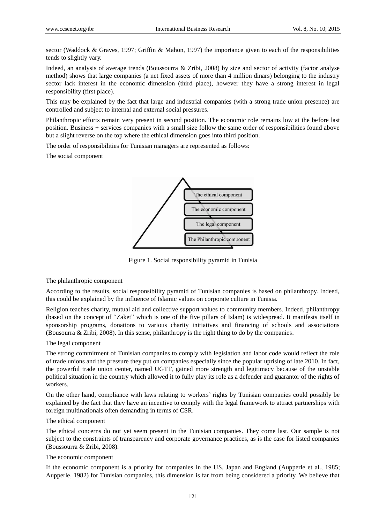sector (Waddock & Graves, 1997; Griffin & Mahon, 1997) the importance given to each of the responsibilities tends to slightly vary.

Indeed, an analysis of average trends (Boussourra & Zribi, 2008) by size and sector of activity (factor analyse method) shows that large companies (a net fixed assets of more than 4 million dinars) belonging to the industry sector lack interest in the economic dimension (third place), however they have a strong interest in legal responsibility (first place).

This may be explained by the fact that large and industrial companies (with a strong trade union presence) are controlled and subject to internal and external social pressures.

Philanthropic efforts remain very present in second position. The economic role remains low at the before last position. Business + services companies with a small size follow the same order of responsibilities found above but a slight reverse on the top where the ethical dimension goes into third position.

The order of responsibilities for Tunisian managers are represented as follows:

The social component



Figure 1. Social responsibility pyramid in Tunisia

The philanthropic component

According to the results, social responsibility pyramid of Tunisian companies is based on philanthropy. Indeed, this could be explained by the influence of Islamic values on corporate culture in Tunisia.

Religion teaches charity, mutual aid and collective support values to community members. Indeed, philanthropy (based on the concept of "Zaket" which is one of the five pillars of Islam) is widespread. It manifests itself in sponsorship programs, donations to various charity initiatives and financing of schools and associations (Bousourra & Zribi, 2008). In this sense, philanthropy is the right thing to do by the companies.

#### The legal component

The strong commitment of Tunisian companies to comply with legislation and labor code would reflect the role of trade unions and the pressure they put on companies especially since the popular uprising of late 2010. In fact, the powerful trade union center, named UGTT, gained more strength and legitimacy because of the unstable political situation in the country which allowed it to fully play its role as a defender and guarantor of the rights of workers.

On the other hand, compliance with laws relating to workers' rights by Tunisian companies could possibly be explained by the fact that they have an incentive to comply with the legal framework to attract partnerships with foreign multinationals often demanding in terms of CSR.

#### The ethical component

The ethical concerns do not yet seem present in the Tunisian companies. They come last. Our sample is not subject to the constraints of transparency and corporate governance practices, as is the case for listed companies (Boussourra & Zribi, 2008).

### The economic component

If the economic component is a priority for companies in the US, Japan and England (Aupperle et al., 1985; Aupperle, 1982) for Tunisian companies, this dimension is far from being considered a priority. We believe that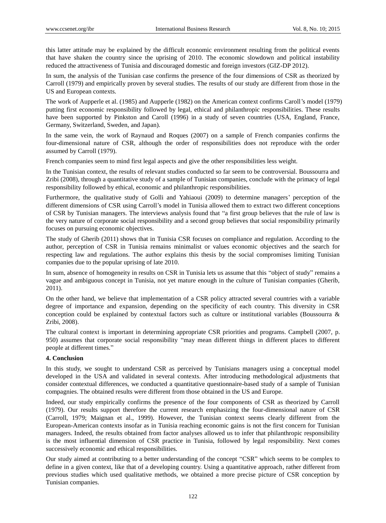this latter attitude may be explained by the difficult economic environment resulting from the political events that have shaken the country since the uprising of 2010. The economic slowdown and political instability reduced the attractiveness of Tunisia and discouraged domestic and foreign investors (GIZ-DP 2012).

In sum, the analysis of the Tunisian case confirms the presence of the four dimensions of CSR as theorized by Carroll (1979) and empirically proven by several studies. The results of our study are different from those in the US and European contexts.

The work of Aupperle et al. (1985) and Aupperle (1982) on the American context confirms Caroll's model (1979) putting first economic responsibility followed by legal, ethical and philanthropic responsibilities. These results have been supported by Pinkston and Caroll (1996) in a study of seven countries (USA, England, France, Germany, Switzerland, Sweden, and Japan).

In the same vein, the work of Raynaud and Roques (2007) on a sample of French companies confirms the four-dimensional nature of CSR, although the order of responsibilities does not reproduce with the order assumed by Carroll (1979).

French companies seem to mind first legal aspects and give the other responsibilities less weight.

In the Tunisian context, the results of relevant studies conducted so far seem to be controversial. Boussourra and Zribi (2008), through a quantitative study of a sample of Tunisian companies, conclude with the primacy of legal responsibility followed by ethical, economic and philanthropic responsibilities.

Furthermore, the qualitative study of Golli and Yahiaoui (2009) to determine managers' perception of the different dimensions of CSR using Carroll's model in Tunisia allowed them to extract two different conceptions of CSR by Tunisian managers. The interviews analysis found that "a first group believes that the rule of law is the very nature of corporate social responsibility and a second group believes that social responsibility primarily focuses on pursuing economic objectives.

The study of Gherib (2011) shows that in Tunisia CSR focuses on compliance and regulation. According to the author, perception of CSR in Tunisia remains minimalist or values economic objectives and the search for respecting law and regulations. The author explains this thesis by the social compromises limiting Tunisian companies due to the popular uprising of late 2010.

In sum, absence of homogeneity in results on CSR in Tunisia lets us assume that this "object of study" remains a vague and ambiguous concept in Tunisia, not yet mature enough in the culture of Tunisian companies (Gherib, 2011).

On the other hand, we believe that implementation of a CSR policy attracted several countries with a variable degree of importance and expansion, depending on the specificity of each country. This diversity in CSR conception could be explained by contextual factors such as culture or institutional variables (Boussourra & Zribi, 2008).

The cultural context is important in determining appropriate CSR priorities and programs. Campbell (2007, p. 950) assumes that corporate social responsibility "may mean different things in different places to different people at different times."

### **4. Conclusion**

In this study, we sought to understand CSR as perceived by Tunisians managers using a conceptual model developed in the USA and validated in several contexts. After introducing methodological adjustments that consider contextual differences, we conducted a quantitative questionnaire-based study of a sample of Tunisian compagnies. The obtained results were different from those obtained in the US and Europe.

Indeed, our study empirically confirms the presence of the four components of CSR as theorized by Carroll (1979). Our results support therefore the current research emphasizing the four-dimensional nature of CSR (Carroll, 1979; Maignan et al., 1999). However, the Tunisian context seems clearly different from the European-American contexts insofar as in Tunisia reaching economic gains is not the first concern for Tunisian managers. Indeed, the results obtained from factor analyses allowed us to infer that philanthropic responsibility is the most influential dimension of CSR practice in Tunisia, followed by legal responsibility. Next comes successively economic and ethical responsibilities.

Our study aimed at contributing to a better understanding of the concept "CSR" which seems to be complex to define in a given context, like that of a developing country. Using a quantitative approach, rather different from previous studies which used qualitative methods, we obtained a more precise picture of CSR conception by Tunisian companies.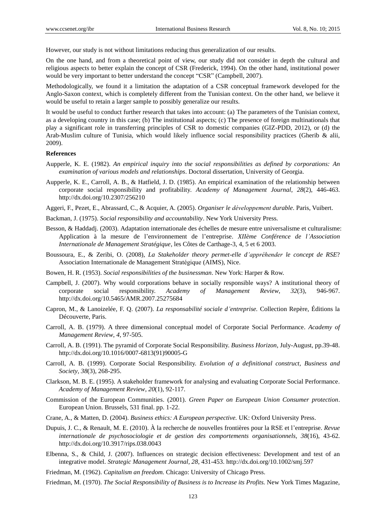However, our study is not without limitations reducing thus generalization of our results.

On the one hand, and from a theoretical point of view, our study did not consider in depth the cultural and religious aspects to better explain the concept of CSR (Frederick, 1994). On the other hand, institutional power would be very important to better understand the concept "CSR" (Campbell, 2007).

Methodologically, we found it a limitation the adaptation of a CSR conceptual framework developed for the Anglo-Saxon context, which is completely different from the Tunisian context. On the other hand, we believe it would be useful to retain a larger sample to possibly generalize our results.

It would be useful to conduct further research that takes into account: (a) The parameters of the Tunisian context, as a developing country in this case; (b) The institutional aspects; (c) The presence of foreign multinationals that play a significant role in transferring principles of CSR to domestic companies (GIZ-PDD, 2012), or (d) the Arab-Muslim culture of Tunisia, which would likely influence social responsibility practices (Gherib & alii, 2009).

#### **References**

- Aupperle, K. E. (1982). *An empirical inquiry into the social responsibilities as defined by corporations: An examination of various models and relationships*. Doctoral dissertation, University of Georgia.
- Aupperle, K. E., Carroll, A. B., & Hatfield, J. D. (1985). An empirical examination of the relationship between corporate social responsibility and profitability. *Academy of Management Journal*, *28*(2), 446-463. <http://dx.doi.org/10.2307/256210>
- Aggeri, F., Pezet, E., Abrassard, C., & Acquier, A. (2005). *Organiser le développement durable*. Paris, Vuibert.
- Backman, J. (1975). *Social responsibility and accountability*. New York University Press.
- Besson, & Haddadj. (2003). Adaptation internationale des échelles de mesure entre universalisme et culturalisme: Application à la mesure de l'environnement de l'entreprise. *XIIème Conférence de l'Association Internationale de Management Stratégique*, les Côtes de Carthage-3, 4, 5 et 6 2003.
- Boussoura, E., & Zeribi, O. (2008), *La Stakeholder theory permet-elle d'appréhender le concept de RSE*? Association Internationale de Management Stratégique (AIMS), Nice.
- Bowen, H. R. (1953). *Social responsibilities of the businessman*. New York: Harper & Row.
- Campbell, J. (2007). Why would corporations behave in socially responsible ways? A institutional theory of corporate social responsibility. *Academy of Management Review*, *32*(3), 946-967. <http://dx.doi.org/10.5465/AMR.2007.25275684>
- Capron, M., & Lanoizelée, F. Q. (2007). *La responsabilité sociale d'entreprise.* Collection Repère, Éditions la Découverte, Paris.
- Carroll, A. B. (1979). A three dimensional conceptual model of Corporate Social Performance. *Academy of Management Review*, *4*, 97-505.
- Carroll, A. B. (1991). The pyramid of Corporate Social Responsibility. *Business Horizon*, July-August, pp.39-48. [http://dx.doi.org/10.1016/0007-6813\(91\)90005-G](http://dx.doi.org/10.1016/0007-6813(91)90005-G)
- Carroll, A. B. (1999). Corporate Social Responsibility. *Evolution of a definitional construct, Business and Society, 38*(3), 268-295.
- Clarkson, M. B. E. (1995). A stakeholder framework for analysing and evaluating Corporate Social Performance. *Academy of Management Review*, *20*(1), 92-117.
- Commission of the European Communities. (2001). *Green Paper on European Union Consumer protection*. European Union. Brussels, 531 final. pp. 1-22.
- Crane, A., & Matten, D. (2004). *Business ethics: A European perspective.* UK: Oxford University Press.
- Dupuis, J. C., & Renault, M. E. (2010). À la recherche de nouvelles frontières pour la RSE et l'entreprise. *Revue internationale de psychosociologie et de gestion des comportements organisationnels, 38*(16), 43-62. <http://dx.doi.org/10.3917/rips.038.0043>
- Elbenna, S., & Child, J. (2007). Influences on strategic decision effectiveness: Development and test of an integrative model. *Strategic Management Journal, 28*, 431-453. <http://dx.doi.org/10.1002/smj.597>
- Friedman, M. (1962). *Capitalism an freedom.* Chicago: University of Chicago Press.
- Friedman, M. (1970). *The Social Responsibility of Business is to Increase its Profits.* New York Times Magazine,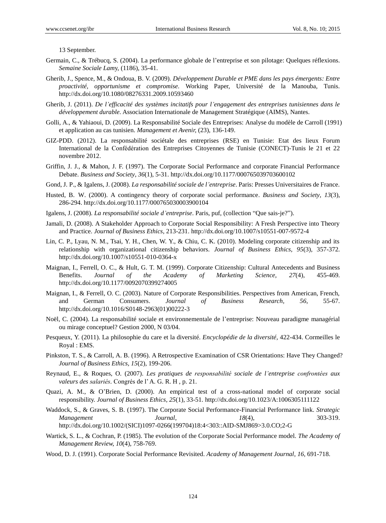13 September.

- Germain, C., & Trébucq, S. (2004). La performance globale de l'entreprise et son pilotage: Quelques réflexions. *Semaine Sociale Lam*y, (1186), 35-41.
- Gherib, J., Spence, M., & Ondoua, B. V. (2009). *Développement Durable et PME dans les pays émergents: Entre proactivité, opportunisme et compromise.* Working Paper, Université de la Manouba, Tunis. <http://dx.doi.org/10.1080/08276331.2009.10593460>
- Gherib, J. (2011). *De l'efficacité des systèmes incitatifs pour l'engagement des entreprises tunisiennes dans le développement durable.* Association Internationale de Management Stratégique (AIMS), Nantes.
- Golli, A., & Yahiaoui, D. (2009). La Responsabilité Sociale des Entreprises: Analyse du modèle de Carroll (1991) et application au cas tunisien. *Management et Avenir,* (23), 136-149.
- GIZ-PDD. (2012). La responsabilité sociétale des entreprises (RSE) en Tunisie: Etat des lieux Forum International de la Confédération des Entreprises Citoyennes de Tunisie (CONECT)-Tunis le 21 et 22 novembre 2012.
- Griffin, J. J., & Mahon, J. F. (1997). The Corporate Social Performance and corporate Financial Performance Debate. *Business and Society*, *36*(1), 5-31. <http://dx.doi.org/10.1177/000765039703600102>
- Gond, J. P., & Igalens, J. (2008). *La responsabilité sociale de l'entreprise*. Paris: Presses Universitaires de France.
- Husted, B. W. (2000). A contingency theory of corporate social performance. *Business and Society, 13*(3), 286-294. <http://dx.doi.org/10.1177/000765030003900104>
- Igalens, J. (2008). *La responsabilité sociale d'entreprise*. Paris, puf, (collection "Que sais-je?").
- Jamali, D. (2008). A Stakeholder Approach to Corporate Social Responsibility: A Fresh Perspective into Theory and Practice. *Journal of Business Ethics,* 213-231. <http://dx.doi.org/10.1007/s10551-007-9572-4>
- Lin, C. P., Lyau, N. M., Tsai, Y. H., Chen, W. Y., & Chiu, C. K. (2010). Modeling corporate citizenship and its relationship with organizational citizenship behaviors. *Journal of Business Ethics, 95*(3), 357-372. <http://dx.doi.org/10.1007/s10551-010-0364-x>
- Maignan, I., Ferrell, O. C., & Hult, G. T. M. (1999). Corporate Citizenship: Cultural Antecedents and Business Benefits. *Journal of the Academy of Marketing Science, 27*(4), 455-469. <http://dx.doi.org/10.1177/0092070399274005>
- Maignan, I., & Ferrell, O. C. (2003). Nature of Corporate Responsibilities. Perspectives from American, French, and German Consumers. *Journal of Business Research, 56*, 55-67. [http://dx.doi.org/10.1016/S0148-2963\(01\)00222-3](http://dx.doi.org/10.1016/S0148-2963(01)00222-3)
- Noël, C. (2004). La responsabilité sociale et environnementale de l'entreprise: Nouveau paradigme managérial ou mirage conceptuel? Gestion 2000, N 03/04.
- Pesqueux*,* Y. (2011). La philosophie du care et la diversité. *Encyclopédie de la diversité,* 422-434. Cormeilles le Royal : EMS.
- Pinkston, T. S., & Carroll, A. B. (1996). A Retrospective Examination of CSR Orientations: Have They Changed? *Journal of Business Ethics, 15*(2), 199-206.
- Reynaud, E., & Roques, O. (2007). *Les pratiques de responsabilité sociale de l'entreprise confrontées aux valeurs des salariés.* Congrés de l'A. G. R. H , p. 21.
- Quazi, A. M., & O'Brien, D. (2000). An empirical test of a cross-national model of corporate social responsibility. *Journal of Business Ethics, 25*(1), 33-51. <http://dx.doi.org/10.1023/A:1006305111122>
- Waddock, S., & Graves, S. B. (1997). The Corporate Social Performance-Financial Performance link. *Strategic Management Journal*, *18*(4), 303-319. [http://dx.doi.org/10.1002/\(SICI\)1097-0266\(199704\)18:4<303::AID-SMJ869>3.0.CO;2-G](http://dx.doi.org/10.1002/(SICI)1097-0266(199704)18:4%3C303::AID-SMJ869%3E3.0.CO;2-G)
- Wartick, S. L., & Cochran, P. (1985). The evolution of the Corporate Social Performance model. *The Academy of Management Review, 10*(4), 758-769.
- Wood, D. J. (1991). Corporate Social Performance Revisited. *Academy of Management Journal*, *16*, 691-718.